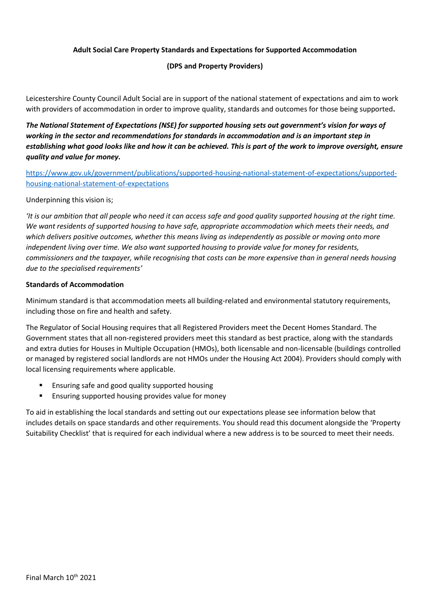#### **Adult Social Care Property Standards and Expectations for Supported Accommodation**

#### **(DPS and Property Providers)**

Leicestershire County Council Adult Social are in support of the national statement of expectations and aim to work with providers of accommodation in order to improve quality, standards and outcomes for those being supported**.**

*The National Statement of Expectations (NSE) for supported housing sets out government's vision for ways of working in the sector and recommendations for standards in accommodation and is an important step in establishing what good looks like and how it can be achieved. This is part of the work to improve oversight, ensure quality and value for money.* 

[https://www.gov.uk/government/publications/supported-housing-national-statement-of-expectations/supported](https://www.gov.uk/government/publications/supported-housing-national-statement-of-expectations/supported-housing-national-statement-of-expectations)[housing-national-statement-of-expectations](https://www.gov.uk/government/publications/supported-housing-national-statement-of-expectations/supported-housing-national-statement-of-expectations)

#### Underpinning this vision is;

*'It is our ambition that all people who need it can access safe and good quality supported housing at the right time. We want residents of supported housing to have safe, appropriate accommodation which meets their needs, and which delivers positive outcomes, whether this means living as independently as possible or moving onto more independent living over time. We also want supported housing to provide value for money for residents, commissioners and the taxpayer, while recognising that costs can be more expensive than in general needs housing due to the specialised requirements'*

#### **Standards of Accommodation**

Minimum standard is that accommodation meets all building-related and environmental statutory requirements, including those on fire and health and safety.

The Regulator of Social Housing requires that all Registered Providers meet the Decent Homes Standard. The Government states that all non-registered providers meet this standard as best practice, along with the standards and extra duties for Houses in Multiple Occupation (HMOs), both licensable and non-licensable (buildings controlled or managed by registered social landlords are not HMOs under the Housing Act 2004). Providers should comply with local licensing requirements where applicable.

- Ensuring safe and good quality supported housing
- Ensuring supported housing provides value for money

To aid in establishing the local standards and setting out our expectations please see information below that includes details on space standards and other requirements. You should read this document alongside the 'Property Suitability Checklist' that is required for each individual where a new address is to be sourced to meet their needs.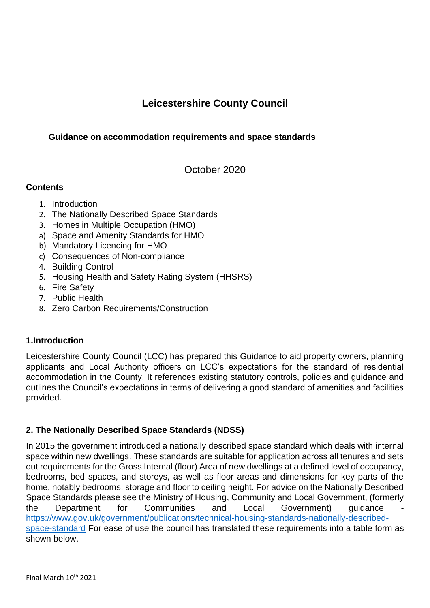# **Leicestershire County Council**

# **Guidance on accommodation requirements and space standards**

October 2020

# **Contents**

- 1. Introduction
- 2. The Nationally Described Space Standards
- 3. Homes in Multiple Occupation (HMO)
- a) Space and Amenity Standards for HMO
- b) Mandatory Licencing for HMO
- c) Consequences of Non-compliance
- 4. Building Control
- 5. Housing Health and Safety Rating System (HHSRS)
- 6. Fire Safety
- 7. Public Health
- 8. Zero Carbon Requirements/Construction

# **1.Introduction**

Leicestershire County Council (LCC) has prepared this Guidance to aid property owners, planning applicants and Local Authority officers on LCC's expectations for the standard of residential accommodation in the County. It references existing statutory controls, policies and guidance and outlines the Council's expectations in terms of delivering a good standard of amenities and facilities provided.

# **2. The Nationally Described Space Standards (NDSS)**

In 2015 the government introduced a nationally described space standard which deals with internal space within new dwellings. These standards are suitable for application across all tenures and sets out requirements for the Gross Internal (floor) Area of new dwellings at a defined level of occupancy, bedrooms, bed spaces, and storeys, as well as floor areas and dimensions for key parts of the home, notably bedrooms, storage and floor to ceiling height. For advice on the Nationally Described Space Standards please see the Ministry of Housing, Community and Local Government, (formerly the Department for Communities and Local Government) quidance [https://www.gov.uk/government/publications/technical-housing-standards-nationally-described](https://www.gov.uk/government/publications/technical-housing-standards-nationally-described-space-standard)[space-standard](https://www.gov.uk/government/publications/technical-housing-standards-nationally-described-space-standard) For ease of use the council has translated these requirements into a table form as shown below.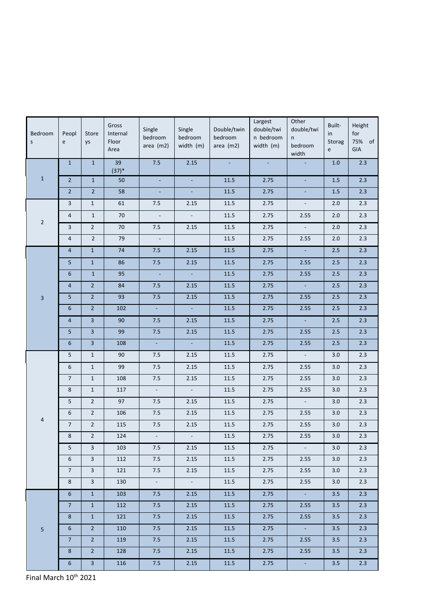| Bedroom<br>$\sf S$ | Peopl<br>e     | Store<br>ys             | Gross<br>Internal<br>Floor<br>Area | Single<br>bedroom<br>area $(m2)$ | Single<br>bedroom<br>width (m) | Double/twin<br>bedroom<br>area $(m2)$ | Largest<br>double/twi<br>n bedroom<br>width (m) | Other<br>double/twi<br>n<br>bedroom<br>width | Built-<br>in<br>Storag<br>$\mathsf{e}\,$ | Height<br>for<br>75% of<br>GIA |
|--------------------|----------------|-------------------------|------------------------------------|----------------------------------|--------------------------------|---------------------------------------|-------------------------------------------------|----------------------------------------------|------------------------------------------|--------------------------------|
|                    | $\mathbf 1$    | $\mathbf 1$             | 39<br>$(37)*$                      | 7.5                              | 2.15                           | $\omega$                              | $\omega$                                        | ÷.                                           | 1.0                                      | $2.3$                          |
| $\mathbf 1$        | $\overline{2}$ | $\mathbf{1}$            | 50                                 | $\mathbb{Z}$                     | L.                             | 11.5                                  | 2.75                                            | $\omega$                                     | $1.5\,$                                  | 2.3                            |
|                    | $\overline{2}$ | $\overline{2}$          | 58                                 | $\blacksquare$                   | $\Box$                         | $11.5\,$                              | 2.75                                            | $\blacksquare$                               | $1.5\,$                                  | 2.3                            |
|                    | 3              | $\mathbf{1}$            | 61                                 | 7.5                              | 2.15                           | 11.5                                  | 2.75                                            | $\omega$                                     | 2.0                                      | 2.3                            |
| $\overline{2}$     | 4              | $\mathbf 1$             | 70                                 | $\Box$                           | $\Box$                         | $11.5\,$                              | 2.75                                            | 2.55                                         | $2.0$                                    | $2.3$                          |
|                    | 3              | $\overline{2}$          | 70                                 | $7.5\,$                          | 2.15                           | 11.5                                  | 2.75                                            | $\mathcal{L}_{\mathcal{A}}$                  | $2.0$                                    | $2.3$                          |
|                    | 4              | $\overline{2}$          | 79                                 | $\blacksquare$                   |                                | 11.5                                  | 2.75                                            | 2.55                                         | 2.0                                      | $2.3$                          |
|                    | $\overline{4}$ | $\mathbf 1$             | 74                                 | $7.5$                            | 2.15                           | 11.5                                  | 2.75                                            | ÷,                                           | $2.5$                                    | 2.3                            |
|                    | 5              | $\mathbf{1}$            | 86                                 | $7.5$                            | 2.15                           | 11.5                                  | 2.75                                            | 2.55                                         | 2.5                                      | 2.3                            |
|                    | 6              | $\mathbf 1$             | 95                                 | $\sim$                           | $\mathbb{Z}$                   | 11.5                                  | 2.75                                            | 2.55                                         | $2.5$                                    | 2.3                            |
|                    | 4              | $2^{\circ}$             | 84                                 | $7.5$                            | 2.15                           | $11.5\,$                              | 2.75                                            | $\mathcal{L}_{\mathcal{A}}$                  | $2.5$                                    | 2.3                            |
| $\overline{3}$     | 5              | $2^{\circ}$             | 93                                 | $7.5$                            | 2.15                           | 11.5                                  | 2.75                                            | 2.55                                         | $2.5$                                    | $2.3$                          |
|                    | 6              | $\overline{2}$          | 102                                | $\Box$                           | $\mathbb{Z}$                   | 11.5                                  | 2.75                                            | 2.55                                         | $2.5$                                    | 2.3                            |
|                    | $\overline{4}$ | $\overline{\mathbf{3}}$ | 90                                 | $7.5$                            | 2.15                           | 11.5                                  | 2.75                                            | $\mathcal{L}_{\mathcal{A}}$                  | $2.5$                                    | 2.3                            |
|                    | 5              | $\overline{\mathbf{3}}$ | 99                                 | 7.5                              | 2.15                           | 11.5                                  | 2.75                                            | 2.55                                         | $2.5$                                    | 2.3                            |
|                    | 6              | $\overline{\mathbf{3}}$ | 108                                | $\Box$                           | $\Box$                         | 11.5                                  | 2.75                                            | 2.55                                         | $2.5$                                    | 2.3                            |
|                    | 5              | $\mathbf{1}$            | 90                                 | 7.5                              | 2.15                           | 11.5                                  | 2.75                                            | ۰                                            | 3.0                                      | 2.3                            |
|                    | 6              | $\mathbf{1}$            | 99                                 | 7.5                              | 2.15                           | 11.5                                  | 2.75                                            | 2.55                                         | 3.0                                      | 2.3                            |
|                    | $\overline{7}$ | $\mathbf{1}$            | 108                                | 7.5                              | 2.15                           | 11.5                                  | 2.75                                            | 2.55                                         | 3.0                                      | 2.3                            |
|                    | 8              | $\mathbf{1}$            | 117                                | $\blacksquare$                   | $\mathbb{Z}^+$                 | 11.5                                  | 2.75                                            | 2.55                                         | 3.0                                      | 2.3                            |
|                    | 5              | $\overline{2}$          | 97                                 | $7.5\,$                          | 2.15                           | 11.5                                  | 2.75                                            | $\omega$                                     | 3.0                                      | 2.3                            |
|                    | 6              | $\overline{2}$          | 106                                | $7.5$                            | 2.15                           | 11.5                                  | 2.75                                            | 2.55                                         | $3.0\,$                                  | $2.3$                          |
| $\overline{4}$     | $\overline{7}$ | $\overline{2}$          | 115                                | 7.5                              | 2.15                           | 11.5                                  | 2.75                                            | 2.55                                         | 3.0                                      | 2.3                            |
|                    | 8              | $\overline{2}$          | 124                                | $\Box$                           | $\mathbb{L}^{\mathbb{N}}$      | 11.5                                  | 2.75                                            | 2.55                                         | $3.0\,$                                  | $2.3$                          |
|                    | 5              | $\overline{3}$          | 103                                | $7.5\,$                          | 2.15                           | 11.5                                  | 2.75                                            | $\omega_{\rm c}$                             | 3.0                                      | 2.3                            |
|                    | 6              | $\mathbf{3}$            | 112                                | 7.5                              | 2.15                           | 11.5                                  | 2.75                                            | 2.55                                         | 3.0                                      | 2.3                            |
|                    | 7 <sup>7</sup> | $\overline{\mathbf{3}}$ | 121                                | 7.5                              | 2.15                           | 11.5                                  | 2.75                                            | 2.55                                         | 3.0                                      | 2.3                            |
|                    | 8              | $\overline{3}$          | 130                                | $\omega_{\rm c}$                 | $\mathcal{L}_{\mathcal{A}}$    | 11.5                                  | 2.75                                            | 2.55                                         | $3.0\,$                                  | 2.3                            |
|                    | 6 <sup>1</sup> | 1                       | 103                                | 7.5                              | 2.15                           | 11.5                                  | 2.75                                            | $\sim$                                       | 3.5                                      | 2.3                            |
|                    | 7 <sup>7</sup> | $\mathbf{1}$            | 112                                | 7.5                              | 2.15                           | 11.5                                  | 2.75                                            | 2.55                                         | 3.5                                      | 2.3                            |
|                    | $\bf 8$        | $\mathbf{1}$            | 121                                | 7.5                              | 2.15                           | 11.5                                  | 2.75                                            | 2.55                                         | $3.5\,$                                  | 2.3                            |
| 5                  | 6 <sup>1</sup> | 2 <sup>2</sup>          | 110                                | 7.5                              | 2.15                           | 11.5                                  | 2.75                                            | $\omega_{\rm c}$                             | 3.5                                      | 2.3                            |
|                    | 7 <sup>7</sup> | 2 <sup>1</sup>          | 119                                | 7.5                              | 2.15                           | 11.5                                  | 2.75                                            | 2.55                                         | 3.5                                      | 2.3                            |
|                    | $8\phantom{1}$ | 2 <sup>2</sup>          | 128                                | 7.5                              | 2.15                           | 11.5                                  | 2.75                                            | 2.55                                         | 3.5                                      | 2.3                            |
|                    | 6 <sup>1</sup> | $\mathbf{3}$            | 116                                | 7.5                              | 2.15                           | 11.5                                  | 2.75                                            | <b>Ay</b>                                    | 3.5                                      | 2.3                            |

Final March  $10^{th}$  2021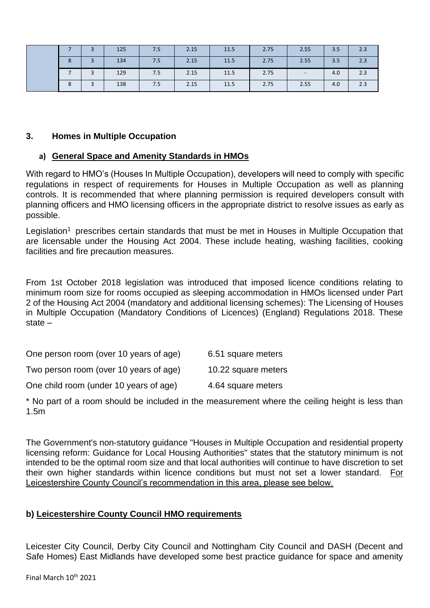|   |   | 125 | 7.5 | 2.15 | 11.5 | 2.75 | 2.55   | 3.5 | 2.3 |
|---|---|-----|-----|------|------|------|--------|-----|-----|
| 8 | 3 | 134 | 7.5 | 2.15 | 11.5 | 2.75 | 2.55   | 3.5 | 2.3 |
|   |   | 129 | 7.5 | 2.15 | 11.5 | 2.75 | $\sim$ | 4.0 | 2.3 |
| 8 |   | 138 | 7.5 | 2.15 | 11.5 | 2.75 | 2.55   | 4.0 | 2.3 |

### **3. Homes in Multiple Occupation**

### **a) General Space and Amenity Standards in HMOs**

With regard to HMO's (Houses In Multiple Occupation), developers will need to comply with specific regulations in respect of requirements for Houses in Multiple Occupation as well as planning controls. It is recommended that where planning permission is required developers consult with planning officers and HMO licensing officers in the appropriate district to resolve issues as early as possible.

Legislation<sup>1</sup> prescribes certain standards that must be met in Houses in Multiple Occupation that are licensable under the Housing Act 2004. These include heating, washing facilities, cooking facilities and fire precaution measures.

From 1st October 2018 legislation was introduced that imposed licence conditions relating to minimum room size for rooms occupied as sleeping accommodation in HMOs licensed under Part 2 of the Housing Act 2004 (mandatory and additional licensing schemes): The Licensing of Houses in Multiple Occupation (Mandatory Conditions of Licences) (England) Regulations 2018. These state –

| One person room (over 10 years of age) | 6.51 square meters |
|----------------------------------------|--------------------|
|                                        |                    |

| Two person room (over 10 years of age) | 10.22 square meters |
|----------------------------------------|---------------------|
|----------------------------------------|---------------------|

One child room (under 10 years of age) 4.64 square meters

\* No part of a room should be included in the measurement where the ceiling height is less than 1.5m

The Government's non-statutory guidance "Houses in Multiple Occupation and residential property licensing reform: Guidance for Local Housing Authorities" states that the statutory minimum is not intended to be the optimal room size and that local authorities will continue to have discretion to set their own higher standards within licence conditions but must not set a lower standard. For Leicestershire County Council's recommendation in this area, please see below.

### **b) Leicestershire County Council HMO requirements**

Leicester City Council, Derby City Council and Nottingham City Council and DASH (Decent and Safe Homes) East Midlands have developed some best practice guidance for space and amenity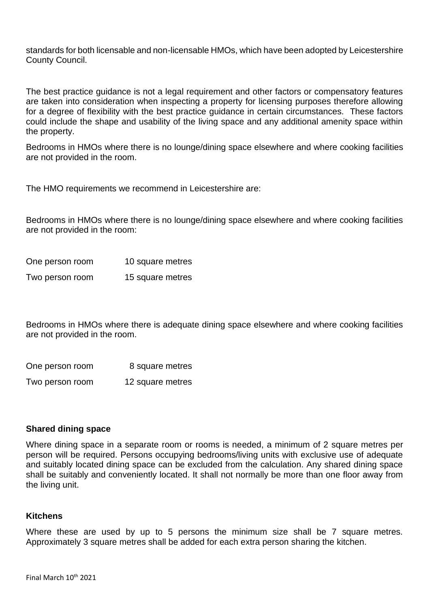standards for both licensable and non-licensable HMOs, which have been adopted by Leicestershire County Council.

The best practice guidance is not a legal requirement and other factors or compensatory features are taken into consideration when inspecting a property for licensing purposes therefore allowing for a degree of flexibility with the best practice guidance in certain circumstances. These factors could include the shape and usability of the living space and any additional amenity space within the property.

Bedrooms in HMOs where there is no lounge/dining space elsewhere and where cooking facilities are not provided in the room.

The HMO requirements we recommend in Leicestershire are:

Bedrooms in HMOs where there is no lounge/dining space elsewhere and where cooking facilities are not provided in the room:

| One person room | 10 square metres |
|-----------------|------------------|
| Two person room | 15 square metres |

Bedrooms in HMOs where there is adequate dining space elsewhere and where cooking facilities are not provided in the room.

One person room 8 square metres

Two person room 12 square metres

#### **Shared dining space**

Where dining space in a separate room or rooms is needed, a minimum of 2 square metres per person will be required. Persons occupying bedrooms/living units with exclusive use of adequate and suitably located dining space can be excluded from the calculation. Any shared dining space shall be suitably and conveniently located. It shall not normally be more than one floor away from the living unit.

#### **Kitchens**

Where these are used by up to 5 persons the minimum size shall be 7 square metres. Approximately 3 square metres shall be added for each extra person sharing the kitchen.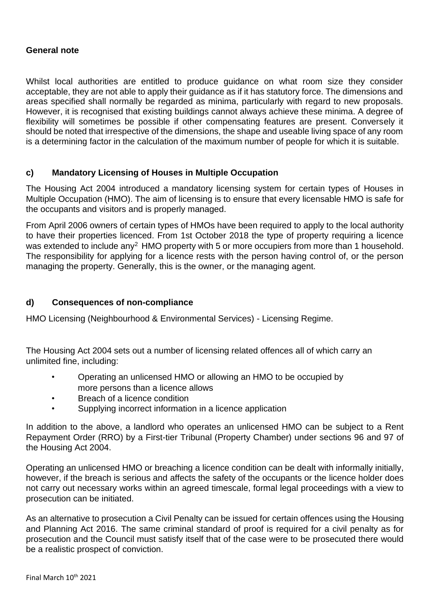### **General note**

Whilst local authorities are entitled to produce guidance on what room size they consider acceptable, they are not able to apply their guidance as if it has statutory force. The dimensions and areas specified shall normally be regarded as minima, particularly with regard to new proposals. However, it is recognised that existing buildings cannot always achieve these minima. A degree of flexibility will sometimes be possible if other compensating features are present. Conversely it should be noted that irrespective of the dimensions, the shape and useable living space of any room is a determining factor in the calculation of the maximum number of people for which it is suitable.

### **c) Mandatory Licensing of Houses in Multiple Occupation**

The Housing Act 2004 introduced a mandatory licensing system for certain types of Houses in Multiple Occupation (HMO). The aim of licensing is to ensure that every licensable HMO is safe for the occupants and visitors and is properly managed.

From April 2006 owners of certain types of HMOs have been required to apply to the local authority to have their properties licenced. From 1st October 2018 the type of property requiring a licence was extended to include any<sup>2</sup> HMO property with 5 or more occupiers from more than 1 household. The responsibility for applying for a licence rests with the person having control of, or the person managing the property. Generally, this is the owner, or the managing agent.

### **d) Consequences of non-compliance**

HMO Licensing (Neighbourhood & Environmental Services) - Licensing Regime.

The Housing Act 2004 sets out a number of licensing related offences all of which carry an unlimited fine, including:

- Operating an unlicensed HMO or allowing an HMO to be occupied by more persons than a licence allows
- Breach of a licence condition
- Supplying incorrect information in a licence application

In addition to the above, a landlord who operates an unlicensed HMO can be subject to a Rent Repayment Order (RRO) by a First-tier Tribunal (Property Chamber) under sections 96 and 97 of the Housing Act 2004.

Operating an unlicensed HMO or breaching a licence condition can be dealt with informally initially, however, if the breach is serious and affects the safety of the occupants or the licence holder does not carry out necessary works within an agreed timescale, formal legal proceedings with a view to prosecution can be initiated.

As an alternative to prosecution a Civil Penalty can be issued for certain offences using the Housing and Planning Act 2016. The same criminal standard of proof is required for a civil penalty as for prosecution and the Council must satisfy itself that of the case were to be prosecuted there would be a realistic prospect of conviction.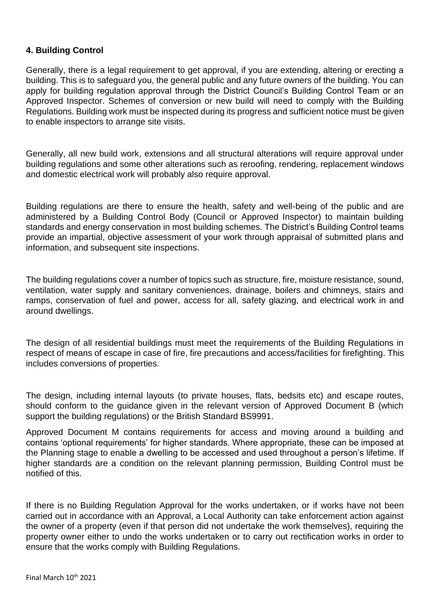### **4. Building Control**

Generally, there is a legal requirement to get approval, if you are extending, altering or erecting a building. This is to safeguard you, the general public and any future owners of the building. You can apply for building regulation approval through the District Council's Building Control Team or an Approved Inspector. Schemes of conversion or new build will need to comply with the Building Regulations. Building work must be inspected during its progress and sufficient notice must be given to enable inspectors to arrange site visits.

Generally, all new build work, extensions and all structural alterations will require approval under building regulations and some other alterations such as reroofing, rendering, replacement windows and domestic electrical work will probably also require approval.

Building regulations are there to ensure the health, safety and well-being of the public and are administered by a Building Control Body (Council or Approved Inspector) to maintain building standards and energy conservation in most building schemes. The District's Building Control teams provide an impartial, objective assessment of your work through appraisal of submitted plans and information, and subsequent site inspections.

The building regulations cover a number of topics such as structure, fire, moisture resistance, sound, ventilation, water supply and sanitary conveniences, drainage, boilers and chimneys, stairs and ramps, conservation of fuel and power, access for all, safety glazing, and electrical work in and around dwellings.

The design of all residential buildings must meet the requirements of the Building Regulations in respect of means of escape in case of fire, fire precautions and access/facilities for firefighting. This includes conversions of properties.

The design, including internal layouts (to private houses, flats, bedsits etc) and escape routes, should conform to the guidance given in the relevant version of Approved Document B (which support the building regulations) or the British Standard BS9991.

Approved Document M contains requirements for access and moving around a building and contains 'optional requirements' for higher standards. Where appropriate, these can be imposed at the Planning stage to enable a dwelling to be accessed and used throughout a person's lifetime. If higher standards are a condition on the relevant planning permission, Building Control must be notified of this.

If there is no Building Regulation Approval for the works undertaken, or if works have not been carried out in accordance with an Approval, a Local Authority can take enforcement action against the owner of a property (even if that person did not undertake the work themselves), requiring the property owner either to undo the works undertaken or to carry out rectification works in order to ensure that the works comply with Building Regulations.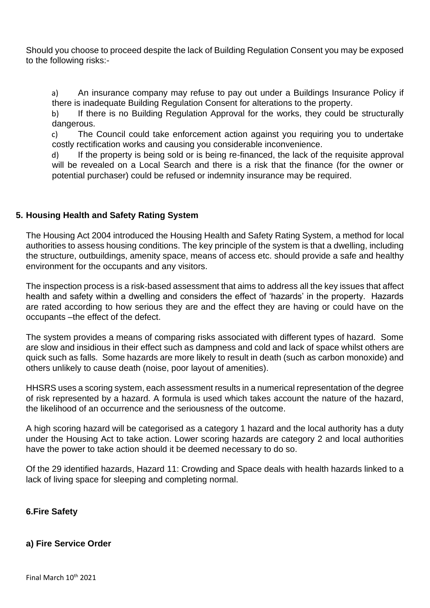Should you choose to proceed despite the lack of Building Regulation Consent you may be exposed to the following risks:-

a) An insurance company may refuse to pay out under a Buildings Insurance Policy if there is inadequate Building Regulation Consent for alterations to the property.

b) If there is no Building Regulation Approval for the works, they could be structurally dangerous.

c) The Council could take enforcement action against you requiring you to undertake costly rectification works and causing you considerable inconvenience.

d) If the property is being sold or is being re-financed, the lack of the requisite approval will be revealed on a Local Search and there is a risk that the finance (for the owner or potential purchaser) could be refused or indemnity insurance may be required.

# **5. Housing Health and Safety Rating System**

The Housing Act 2004 introduced the Housing Health and Safety Rating System, a method for local authorities to assess housing conditions. The key principle of the system is that a dwelling, including the structure, outbuildings, amenity space, means of access etc. should provide a safe and healthy environment for the occupants and any visitors.

The inspection process is a risk-based assessment that aims to address all the key issues that affect health and safety within a dwelling and considers the effect of 'hazards' in the property. Hazards are rated according to how serious they are and the effect they are having or could have on the occupants –the effect of the defect.

The system provides a means of comparing risks associated with different types of hazard. Some are slow and insidious in their effect such as dampness and cold and lack of space whilst others are quick such as falls. Some hazards are more likely to result in death (such as carbon monoxide) and others unlikely to cause death (noise, poor layout of amenities).

HHSRS uses a scoring system, each assessment results in a numerical representation of the degree of risk represented by a hazard. A formula is used which takes account the nature of the hazard, the likelihood of an occurrence and the seriousness of the outcome.

A high scoring hazard will be categorised as a category 1 hazard and the local authority has a duty under the Housing Act to take action. Lower scoring hazards are category 2 and local authorities have the power to take action should it be deemed necessary to do so.

Of the 29 identified hazards, Hazard 11: Crowding and Space deals with health hazards linked to a lack of living space for sleeping and completing normal.

# **6.Fire Safety**

# **a) Fire Service Order**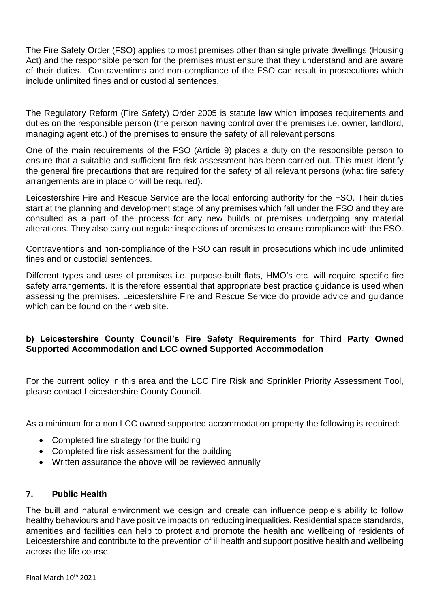The Fire Safety Order (FSO) applies to most premises other than single private dwellings (Housing Act) and the responsible person for the premises must ensure that they understand and are aware of their duties. Contraventions and non-compliance of the FSO can result in prosecutions which include unlimited fines and or custodial sentences.

The Regulatory Reform (Fire Safety) Order 2005 is statute law which imposes requirements and duties on the responsible person (the person having control over the premises i.e. owner, landlord, managing agent etc.) of the premises to ensure the safety of all relevant persons.

One of the main requirements of the FSO (Article 9) places a duty on the responsible person to ensure that a suitable and sufficient fire risk assessment has been carried out. This must identify the general fire precautions that are required for the safety of all relevant persons (what fire safety arrangements are in place or will be required).

Leicestershire Fire and Rescue Service are the local enforcing authority for the FSO. Their duties start at the planning and development stage of any premises which fall under the FSO and they are consulted as a part of the process for any new builds or premises undergoing any material alterations. They also carry out regular inspections of premises to ensure compliance with the FSO.

Contraventions and non-compliance of the FSO can result in prosecutions which include unlimited fines and or custodial sentences.

Different types and uses of premises i.e. purpose-built flats, HMO's etc. will require specific fire safety arrangements. It is therefore essential that appropriate best practice guidance is used when assessing the premises. Leicestershire Fire and Rescue Service do provide advice and guidance which can be found on their web site.

# **b) Leicestershire County Council's Fire Safety Requirements for Third Party Owned Supported Accommodation and LCC owned Supported Accommodation**

For the current policy in this area and the LCC Fire Risk and Sprinkler Priority Assessment Tool, please contact Leicestershire County Council.

As a minimum for a non LCC owned supported accommodation property the following is required:

- Completed fire strategy for the building
- Completed fire risk assessment for the building
- Written assurance the above will be reviewed annually

### **7. Public Health**

The built and natural environment we design and create can influence people's ability to follow healthy behaviours and have positive impacts on reducing inequalities. Residential space standards, amenities and facilities can help to protect and promote the health and wellbeing of residents of Leicestershire and contribute to the prevention of ill health and support positive health and wellbeing across the life course.